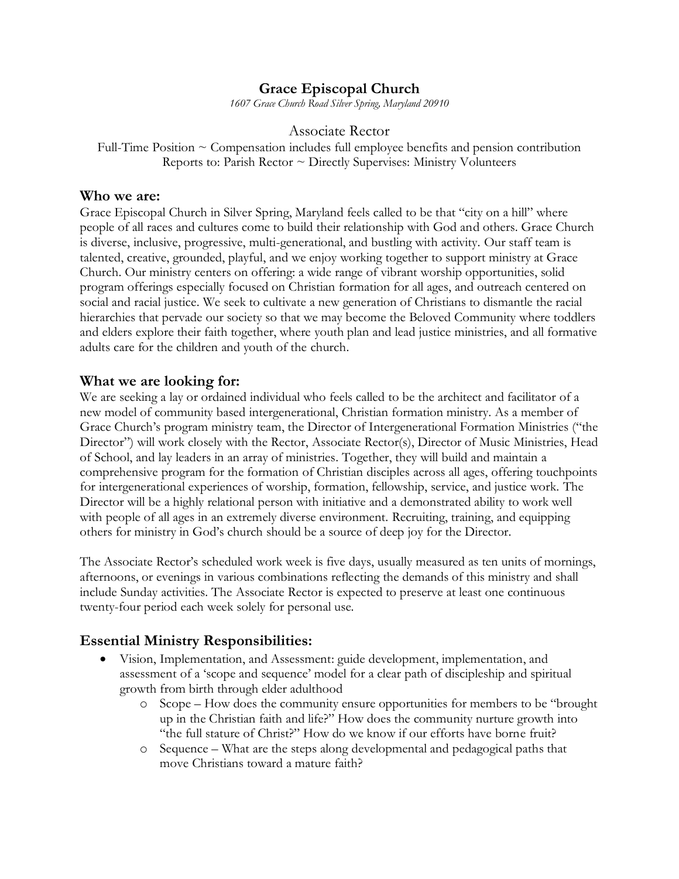## **Grace Episcopal Church**

*1607 Grace Church Road Silver Spring, Maryland 20910*

#### Associate Rector

Full-Time Position  $\sim$  Compensation includes full employee benefits and pension contribution Reports to: Parish Rector  $\sim$  Directly Supervises: Ministry Volunteers

#### **Who we are:**

Grace Episcopal Church in Silver Spring, Maryland feels called to be that "city on a hill" where people of all races and cultures come to build their relationship with God and others. Grace Church is diverse, inclusive, progressive, multi-generational, and bustling with activity. Our staff team is talented, creative, grounded, playful, and we enjoy working together to support ministry at Grace Church. Our ministry centers on offering: a wide range of vibrant worship opportunities, solid program offerings especially focused on Christian formation for all ages, and outreach centered on social and racial justice. We seek to cultivate a new generation of Christians to dismantle the racial hierarchies that pervade our society so that we may become the Beloved Community where toddlers and elders explore their faith together, where youth plan and lead justice ministries, and all formative adults care for the children and youth of the church.

### **What we are looking for:**

We are seeking a lay or ordained individual who feels called to be the architect and facilitator of a new model of community based intergenerational, Christian formation ministry. As a member of Grace Church's program ministry team, the Director of Intergenerational Formation Ministries ("the Director") will work closely with the Rector, Associate Rector(s), Director of Music Ministries, Head of School, and lay leaders in an array of ministries. Together, they will build and maintain a comprehensive program for the formation of Christian disciples across all ages, offering touchpoints for intergenerational experiences of worship, formation, fellowship, service, and justice work. The Director will be a highly relational person with initiative and a demonstrated ability to work well with people of all ages in an extremely diverse environment. Recruiting, training, and equipping others for ministry in God's church should be a source of deep joy for the Director.

The Associate Rector's scheduled work week is five days, usually measured as ten units of mornings, afternoons, or evenings in various combinations reflecting the demands of this ministry and shall include Sunday activities. The Associate Rector is expected to preserve at least one continuous twenty-four period each week solely for personal use.

## **Essential Ministry Responsibilities:**

- Vision, Implementation, and Assessment: guide development, implementation, and assessment of a 'scope and sequence' model for a clear path of discipleship and spiritual growth from birth through elder adulthood
	- o Scope How does the community ensure opportunities for members to be "brought up in the Christian faith and life?" How does the community nurture growth into "the full stature of Christ?" How do we know if our efforts have borne fruit?
	- o Sequence What are the steps along developmental and pedagogical paths that move Christians toward a mature faith?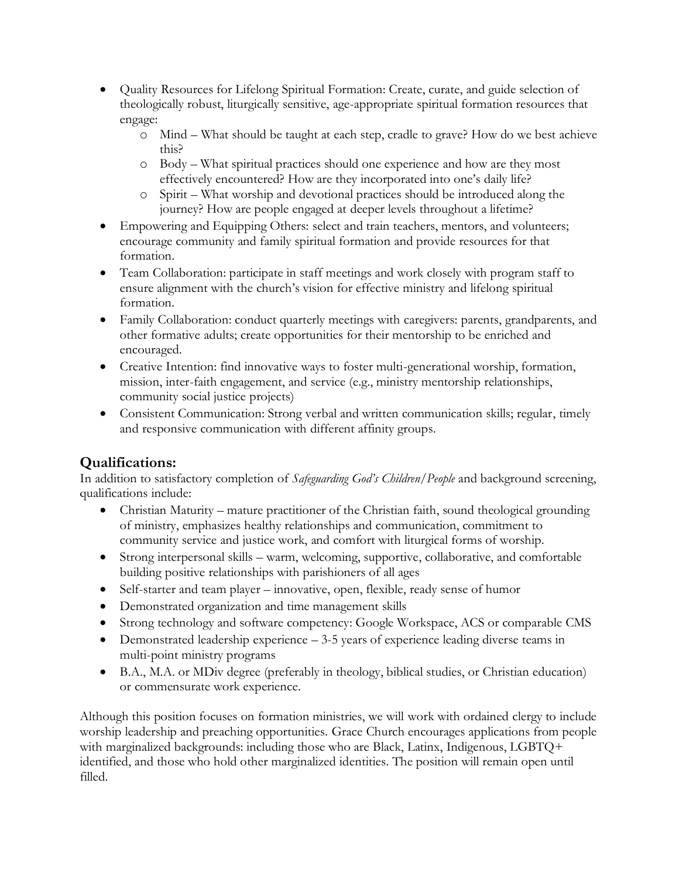- Quality Resources for Lifelong Spiritual Formation: Create, curate, and guide selection of theologically robust, liturgically sensitive, age-appropriate spiritual formation resources that engage:
	- o Mind What should be taught at each step, cradle to grave? How do we best achieve this?
	- o Body What spiritual practices should one experience and how are they most effectively encountered? How are they incorporated into one's daily life?
	- o Spirit What worship and devotional practices should be introduced along the journey? How are people engaged at deeper levels throughout a lifetime?
- Empowering and Equipping Others: select and train teachers, mentors, and volunteers; encourage community and family spiritual formation and provide resources for that formation.
- Team Collaboration: participate in staff meetings and work closely with program staff to ensure alignment with the church's vision for effective ministry and lifelong spiritual formation.
- Family Collaboration: conduct quarterly meetings with caregivers: parents, grandparents, and other formative adults; create opportunities for their mentorship to be enriched and encouraged.
- Creative Intention: find innovative ways to foster multi-generational worship, formation, mission, inter-faith engagement, and service (e.g., ministry mentorship relationships, community social justice projects)
- Consistent Communication: Strong verbal and written communication skills; regular, timely and responsive communication with different affinity groups.

# **Qualifications:**

In addition to satisfactory completion of *Safeguarding God's Children/People* and background screening, qualifications include:

- Christian Maturity mature practitioner of the Christian faith, sound theological grounding of ministry, emphasizes healthy relationships and communication, commitment to community service and justice work, and comfort with liturgical forms of worship.
- Strong interpersonal skills warm, welcoming, supportive, collaborative, and comfortable building positive relationships with parishioners of all ages
- Self-starter and team player innovative, open, flexible, ready sense of humor
- Demonstrated organization and time management skills
- Strong technology and software competency: Google Workspace, ACS or comparable CMS
- Demonstrated leadership experience 3-5 years of experience leading diverse teams in multi-point ministry programs
- B.A., M.A. or MDiv degree (preferably in theology, biblical studies, or Christian education) or commensurate work experience.

Although this position focuses on formation ministries, we will work with ordained clergy to include worship leadership and preaching opportunities. Grace Church encourages applications from people with marginalized backgrounds: including those who are Black, Latinx, Indigenous, LGBTQ+ identified, and those who hold other marginalized identities. The position will remain open until filled.